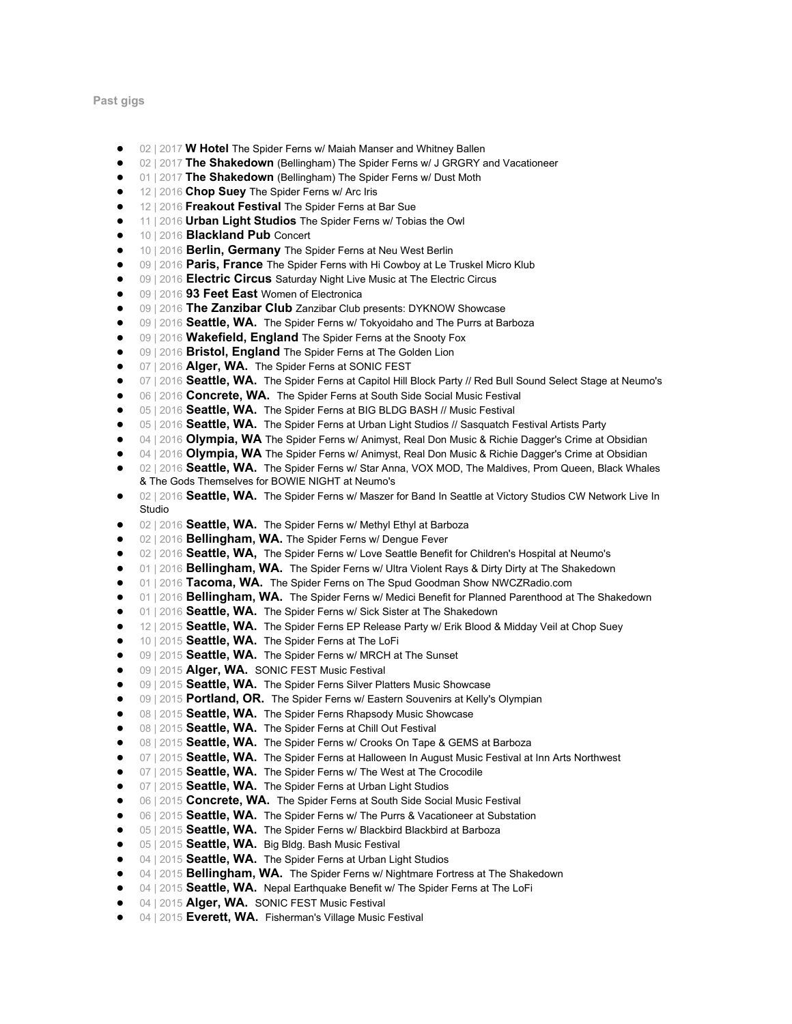**Past gigs**

- 02 | 2017 **W Hotel** The Spider Ferns w/ Maiah Manser and Whitney Ballen
- 02 | 2017 **The Shakedown** (Bellingham) The Spider Ferns w/ J GRGRY and Vacationeer
- 01 | 2017 **The Shakedown** (Bellingham) The Spider Ferns w/ Dust Moth
- 12 | 2016 **Chop Suey** The Spider Ferns w/ Arc Iris
- 12 | 2016 **Freakout Festival** The Spider Ferns at Bar Sue<br>● 11 | 2016 **Urban Light Studios** The Spider Ferns w/ Tobia
- 11 | 2016 **Urban Light Studios** The Spider Ferns w/ Tobias the Owl
- 10 | 2016 **Blackland Pub** Concert
- 10 | 2016 **Berlin, Germany** The Spider Ferns at Neu West Berlin
- 09 | 2016 **Paris, France** The Spider Ferns with Hi Cowboy at Le Truskel Micro Klub
- 09 | 2016 **Electric Circus** Saturday Night Live Music at The Electric Circus<br>● 09 | 2016 93 Feet East Women of Flectronica
- 09 | 2016 93 Feet East Women of Electronica
- 09 | 2016 **The Zanzibar Club** Zanzibar Club presents: DYKNOW Showcase
- 09 | 2016 **Seattle, WA.** The Spider Ferns w/ Tokyoidaho and The Purrs at Barboza<br>● 09 | 2016 Wakefield. England The Spider Ferns at the Snooty Fox
- 09 | 2016 **Wakefield, England** The Spider Ferns at the Snooty Fox<br>● 09 | 2016 **Bristol, England** The Spider Ferns at The Golden Lion
- 09 | 2016 **Bristol, England** The Spider Ferns at The Golden Lion
- 07 | 2016 **Alger, WA.** The Spider Ferns at SONIC FEST<br>● 07 | 2016 **Seattle, WA.** The Spider Ferns at Capitol Hill F
- 07 | 2016 **Seattle, WA.** The Spider Ferns at Capitol Hill Block Party // Red Bull Sound Select Stage at Neumo's 06 | 2016 **Concrete. WA.** The Spider Ferns at South Side Social Music Festival
- 06 | 2016 **Concrete, WA.** The Spider Ferns at South Side Social Music Festival <br>● 05 | 2016 **Seattle WA** The Spider Ferns at BIG BLDG BASH // Music Festival
- 05 | 2016 **Seattle, WA.** The Spider Ferns at BIG BLDG BASH // Music Festival and a notation Festival and a notation Festival and a notation Festival and a notation Festival and a notation Festival and a notation Festiva
- 05 | 2016 **Seattle, WA.** The Spider Ferns at Urban Light Studios // Sasquatch Festival Artists Party
- 04 | 2016 **Olympia, WA** The Spider Ferns w/ Animyst, Real Don Music & Richie Dagger's Crime at Obsidian
- 04 | 2016 **Olympia, WA** The Spider Ferns w/ Animyst, Real Don Music & Richie Dagger's Crime at Obsidian
- 02 | 2016 **Seattle, WA.** The Spider Ferns w/ Star Anna, VOX MOD, The Maldives, Prom Queen, Black Whales & The Gods Themselves for BOWIE NIGHT at Neumo's
- 02 | 2016 **Seattle, WA.** The Spider Ferns w/ Maszer for Band In Seattle at Victory Studios CW Network Live In Studio
- 02 | 2016 **Seattle, WA.** The Spider Ferns w/ Methyl Ethyl at Barboza
- 02 | 2016 **Bellingham, WA.** The Spider Ferns w/ Dengue Fever
- 02 | 2016 **Seattle, WA,** The Spider Ferns w/ Love Seattle Benefit for Children's Hospital at Neumo's
- 01 | 2016 **Bellingham, WA.** The Spider Ferns w/ Ultra Violent Rays & Dirty Dirty at The Shakedown<br>● 01 | 2016 **Tacoma WA** The Spider Ferns on The Spud Goodman Show NWCZRadio com
- 01 | 2016 **Tacoma, WA.** The Spider Ferns on The Spud Goodman Show NWCZRadio.com<br>● 01 | 2016 **Bellingham. WA.** The Spider Ferns w/ Medici Benefit for Planned Parenthood at
- 01 | 2016 **Bellingham, WA.** The Spider Ferns w/ Medici Benefit for Planned Parenthood at The Shakedown
- 01 | 2016 **Seattle, WA.** The Spider Ferns w/ Sick Sister at The Shakedown
- 12 | 2015 **Seattle, WA.** The Spider Ferns EP Release Party w/ Erik Blood & Midday Veil at Chop Suey
- 10 | 2015 **Seattle, WA.** The Spider Ferns at The LoFi<br>● 09 | 2015 **Seattle, WA.** The Spider Ferns w/ MRCH at
- 09 | 2015 **Seattle, WA.** The Spider Ferns w/ MRCH at The Sunset
- 09 | 2015 **Alger, WA.** SONIC FEST Music Festival
- 09 | 2015 **Seattle, WA.** The Spider Ferns Silver Platters Music Showcase
- 09 | 2015 **Portland, OR.** The Spider Ferns w/ Eastern Souvenirs at Kelly's Olympian
- 08 | 2015 **Seattle, WA.** The Spider Ferns Rhapsody Music Showcase
- 08 | 2015 **Seattle, WA.** The Spider Ferns at Chill Out Festival
- 08 | 2015 **Seattle, WA.** The Spider Ferns w/ Crooks On Tape & GEMS at Barboza
- 07 | 2015 **Seattle, WA.** The Spider Ferns at Halloween In August Music Festival at Inn Arts Northwest<br>● 07 | 2015 **Seattle, WA.** The Spider Ferns w/ The West at The Crocodile
- 07 | 2015 **Seattle, WA.** The Spider Ferns w/ The West at The Crocodile **a** 07 | 2015 **Seattle WA** The Spider Ferns at Urban Light Studios
- **07 | 2015 Seattle, WA.** The Spider Ferns at Urban Light Studios<br>• 06 | 2015 **Concrete, WA** The Spider Ferns at South Side Social
- 06 | 2015 **Concrete, WA.** The Spider Ferns at South Side Social Music Festival **●** 061 2015 **Seattle WA** The Spider Ferns w/ The Purrs & Vacationeer at Substat
- 06 | 2015 **Seattle, WA.** The Spider Ferns w/ The Purrs & Vacationeer at Substation
- 05 | 2015 **Seattle, WA.** The Spider Ferns w/ Blackbird Blackbird at Barboza
- 05 | 2015 **Seattle, WA.** Big Bldg. Bash Music Festival
- 04 | 2015 **Seattle, WA.** The Spider Ferns at Urban Light Studios
- 04 | 2015 **Bellingham, WA.** The Spider Ferns w/ Nightmare Fortress at The Shakedown
- 04 | 2015 **Seattle, WA.** Nepal Earthquake Benefit w/ The Spider Ferns at The LoFi
- 04 | 2015 **Alger, WA.**  SONIC FEST Music Festival
- 04 | 2015 **Everett, WA.** Fisherman's Village Music Festival